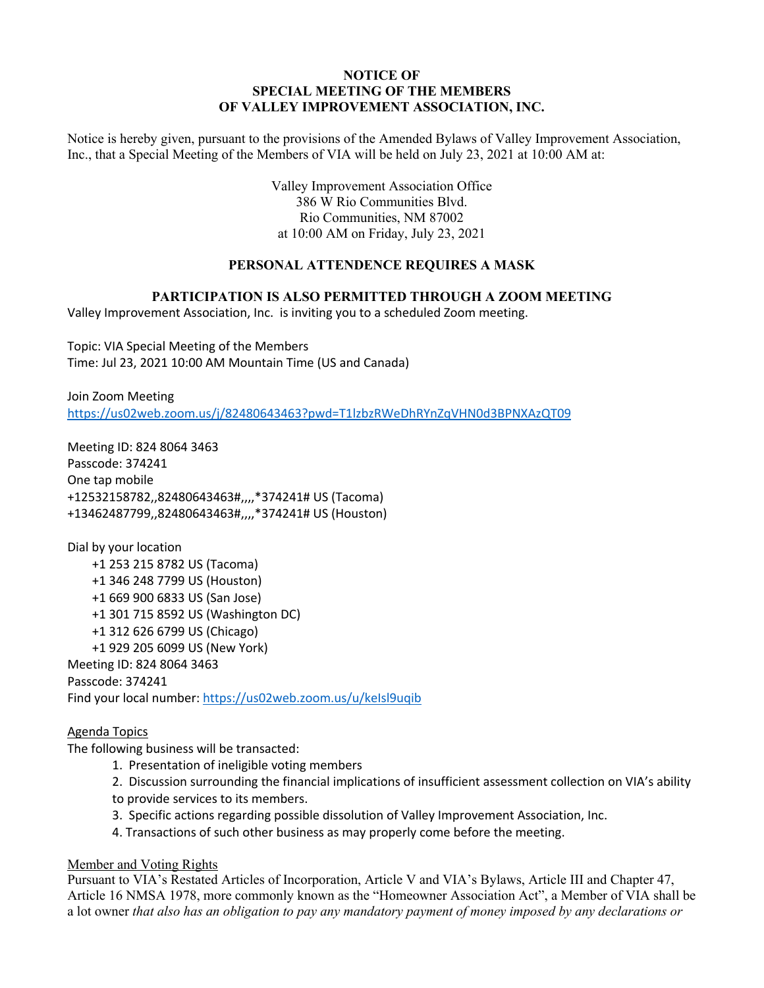## **NOTICE OF SPECIAL MEETING OF THE MEMBERS OF VALLEY IMPROVEMENT ASSOCIATION, INC.**

Notice is hereby given, pursuant to the provisions of the Amended Bylaws of Valley Improvement Association, Inc., that a Special Meeting of the Members of VIA will be held on July 23, 2021 at 10:00 AM at:

> Valley Improvement Association Office 386 W Rio Communities Blvd. Rio Communities, NM 87002 at 10:00 AM on Friday, July 23, 2021

# **PERSONAL ATTENDENCE REQUIRES A MASK**

#### **PARTICIPATION IS ALSO PERMITTED THROUGH A ZOOM MEETING**

Valley Improvement Association, Inc. is inviting you to a scheduled Zoom meeting.

Topic: VIA Special Meeting of the Members Time: Jul 23, 2021 10:00 AM Mountain Time (US and Canada)

Join Zoom Meeting https://us02web.zoom.us/j/82480643463?pwd=T1lzbzRWeDhRYnZqVHN0d3BPNXAzQT09

Meeting ID: 824 8064 3463 Passcode: 374241 One tap mobile +12532158782,,82480643463#,,,,\*374241# US (Tacoma) +13462487799,,82480643463#,,,,\*374241# US (Houston)

Dial by your location +1 253 215 8782 US (Tacoma) +1 346 248 7799 US (Houston) +1 669 900 6833 US (San Jose) +1 301 715 8592 US (Washington DC) +1 312 626 6799 US (Chicago) +1 929 205 6099 US (New York) Meeting ID: 824 8064 3463 Passcode: 374241 Find your local number: https://us02web.zoom.us/u/keIsl9uqib

#### Agenda Topics

The following business will be transacted:

- 1. Presentation of ineligible voting members
- 2. Discussion surrounding the financial implications of insufficient assessment collection on VIA's ability
- to provide services to its members.
- 3. Specific actions regarding possible dissolution of Valley Improvement Association, Inc.
- 4. Transactions of such other business as may properly come before the meeting.

### Member and Voting Rights

Pursuant to VIA's Restated Articles of Incorporation, Article V and VIA's Bylaws, Article III and Chapter 47, Article 16 NMSA 1978, more commonly known as the "Homeowner Association Act", a Member of VIA shall be a lot owner *that also has an obligation to pay any mandatory payment of money imposed by any declarations or*